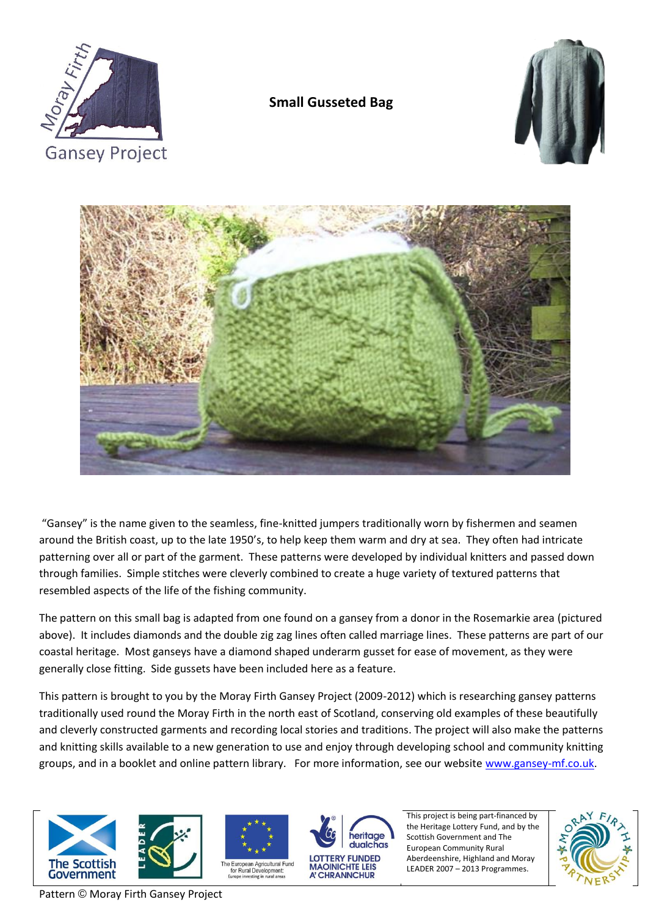

**Small Gusseted Bag**





"Gansey" is the name given to the seamless, fine-knitted jumpers traditionally worn by fishermen and seamen around the British coast, up to the late 1950's, to help keep them warm and dry at sea. They often had intricate patterning over all or part of the garment. These patterns were developed by individual knitters and passed down through families. Simple stitches were cleverly combined to create a huge variety of textured patterns that resembled aspects of the life of the fishing community.

The pattern on this small bag is adapted from one found on a gansey from a donor in the Rosemarkie area (pictured above). It includes diamonds and the double zig zag lines often called marriage lines. These patterns are part of our coastal heritage. Most ganseys have a diamond shaped underarm gusset for ease of movement, as they were generally close fitting. Side gussets have been included here as a feature.

This pattern is brought to you by the Moray Firth Gansey Project (2009-2012) which is researching gansey patterns traditionally used round the Moray Firth in the north east of Scotland, conserving old examples of these beautifully and cleverly constructed garments and recording local stories and traditions. The project will also make the patterns and knitting skills available to a new generation to use and enjoy through developing school and community knitting groups, and in a booklet and online pattern library. For more information, see our website [www.gansey-mf.co.uk.](http://www.gansey-mf.co.uk/)









This project is being part-financed by the Heritage Lottery Fund, and by the Scottish Government and The European Community Rural Aberdeenshire, Highland and Moray LEADER 2007 – 2013 Programmes.



Pattern © Moray Firth Gansey Project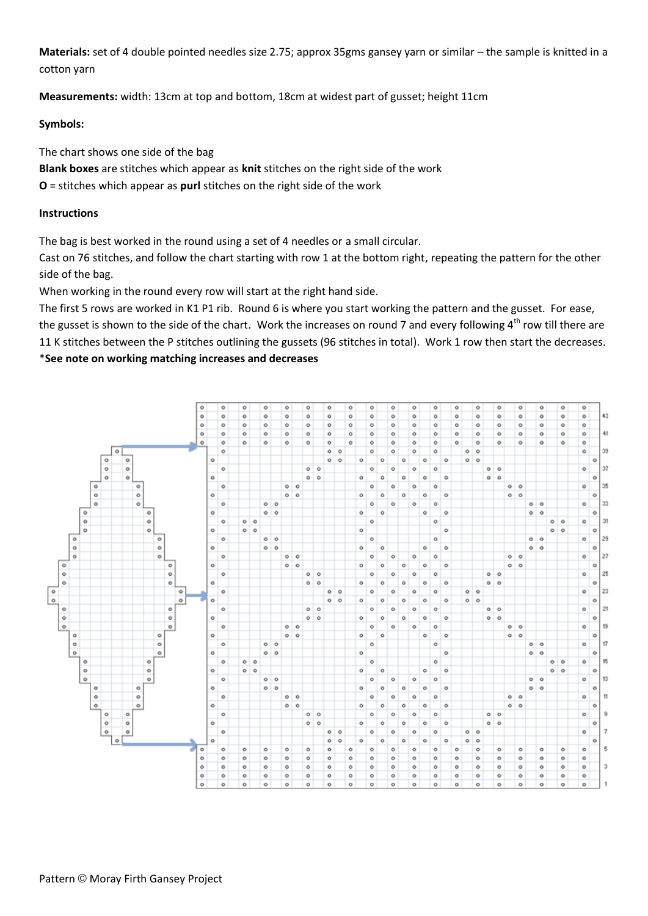**Materials:** set of 4 double pointed needles size 2.75; approx 35gms gansey yarn or similar – the sample is knitted in a cotton yarn

**Measurements:** width: 13cm at top and bottom, 18cm at widest part of gusset; height 11cm

## **Symbols:**

The chart shows one side of the bag

**Blank boxes** are stitches which appear as **knit** stitches on the right side of the work

**O** = stitches which appear as **purl** stitches on the right side of the work

## **Instructions**

The bag is best worked in the round using a set of 4 needles or a small circular.

Cast on 76 stitches, and follow the chart starting with row 1 at the bottom right, repeating the pattern for the other side of the bag.

When working in the round every row will start at the right hand side.

The first 5 rows are worked in K1 P1 rib. Round 6 is where you start working the pattern and the gusset. For ease, the gusset is shown to the side of the chart. Work the increases on round 7 and every following  $4^{th}$  row till there are 11 K stitches between the P stitches outlining the gussets (96 stitches in total). Work 1 row then start the decreases. \***See note on working matching increases and decreases**